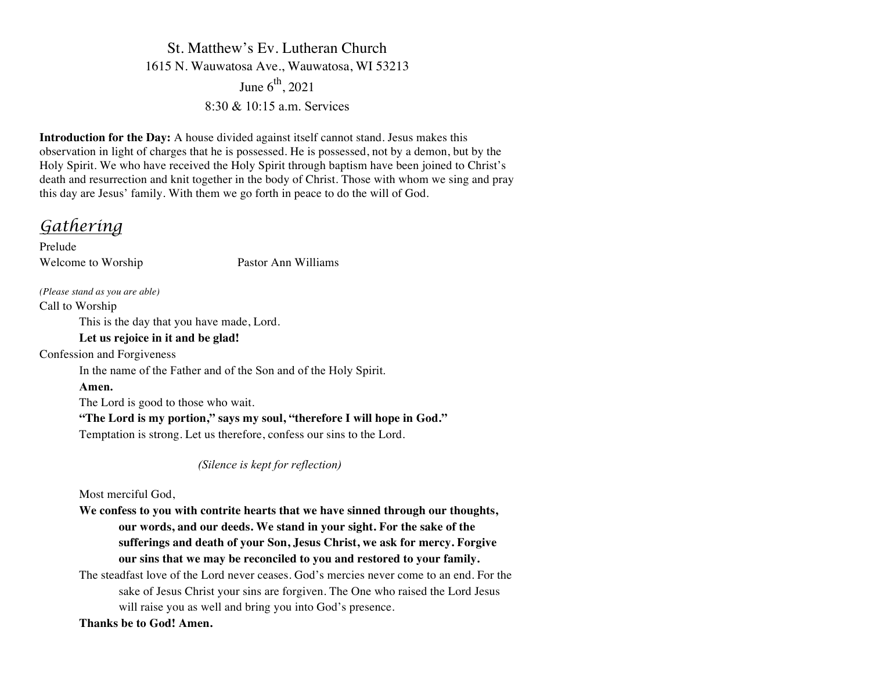St. Matthew's Ev. Lutheran Church 1615 N. Wauwatosa Ave., Wauwatosa, WI 53213 June  $6^{\text{th}}$ , 2021  $8.30 \& 10.15$  a m Services

**Introduction for the Day:** A house divided against itself cannot stand. Jesus makes this observation in light of charges that he is possessed. He is possessed, not by a demon, but by the Holy Spirit. We who have received the Holy Spirit through baptism have been joined to Christ's death and resurrection and knit together in the body of Christ. Those with whom we sing and pray this day are Jesus' family. With them we go forth in peace to do the will of God.

*Gathering*

Prelude Welcome to Worship Pastor Ann Williams

*(Please stand as you are able)*

Call to Worship

This is the day that you have made, Lord.

### **Let us rejoice in it and be glad!**

Confession and Forgiveness

In the name of the Father and of the Son and of the Holy Spirit.

**Amen.**

The Lord is good to those who wait.

**"The Lord is my portion," says my soul, "therefore I will hope in God."**

Temptation is strong. Let us therefore, confess our sins to the Lord.

*(Silence is kept for reflection)*

Most merciful God,

**We confess to you with contrite hearts that we have sinned through our thoughts, our words, and our deeds. We stand in your sight. For the sake of the sufferings and death of your Son, Jesus Christ, we ask for mercy. Forgive our sins that we may be reconciled to you and restored to your family.**

The steadfast love of the Lord never ceases. God's mercies never come to an end. For the sake of Jesus Christ your sins are forgiven. The One who raised the Lord Jesus will raise you as well and bring you into God's presence.

**Thanks be to God! Amen.**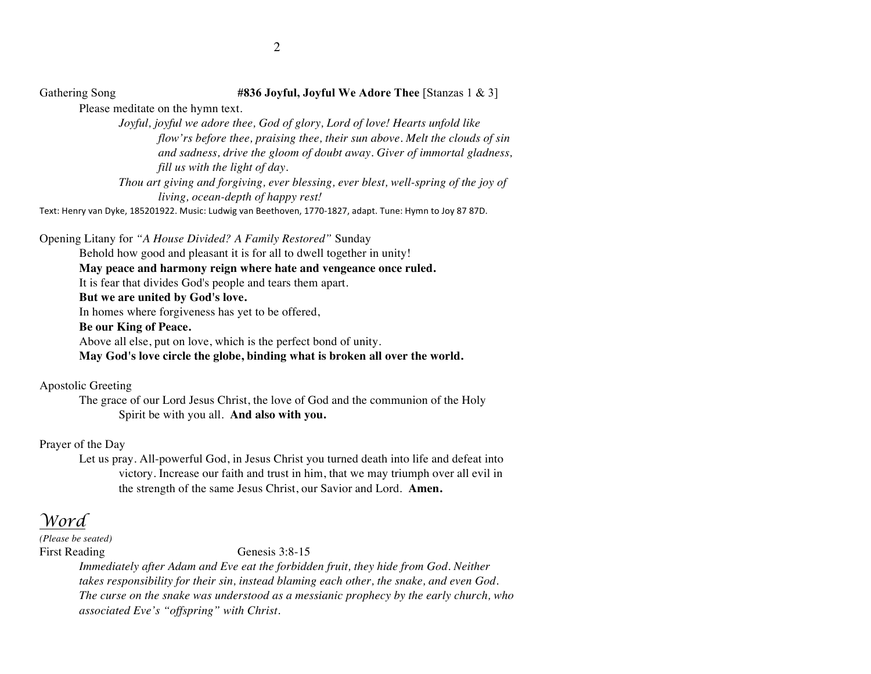Gathering Song **#836 Joyful, Joyful We Adore Thee** [Stanzas 1 & 3]

Please meditate on the hymn text.

*Joyful, joyful we adore thee, God of glory, Lord of love! Hearts unfold like flow'rs before thee, praising thee, their sun above. Melt the clouds of sin and sadness, drive the gloom of doubt away. Giver of immortal gladness, fill us with the light of day.*

*Thou art giving and forgiving, ever blessing, ever blest, well-spring of the joy of living, ocean-depth of happy rest!* 

Text: Henry van Dyke, 185201922. Music: Ludwig van Beethoven, 1770-1827, adapt. Tune: Hymn to Joy 87 87D.

Opening Litany for *"A House Divided? A Family Restored"* Sunday Behold how good and pleasant it is for all to dwell together in unity! **May peace and harmony reign where hate and vengeance once ruled.** It is fear that divides God's people and tears them apart. **But we are united by God's love.** In homes where forgiveness has yet to be offered, **Be our King of Peace.** Above all else, put on love, which is the perfect bond of unity. **May God's love circle the globe, binding what is broken all over the world.**

Apostolic Greeting

The grace of our Lord Jesus Christ, the love of God and the communion of the Holy Spirit be with you all. **And also with you.**

Prayer of the Day

Let us pray. All-powerful God, in Jesus Christ you turned death into life and defeat into victory. Increase our faith and trust in him, that we may triumph over all evil in the strength of the same Jesus Christ, our Savior and Lord. **Amen.**

*Word*

*(Please be seated)*

First Reading Genesis 3:8-15

*Immediately after Adam and Eve eat the forbidden fruit, they hide from God. Neither takes responsibility for their sin, instead blaming each other, the snake, and even God. The curse on the snake was understood as a messianic prophecy by the early church, who associated Eve's "offspring" with Christ.*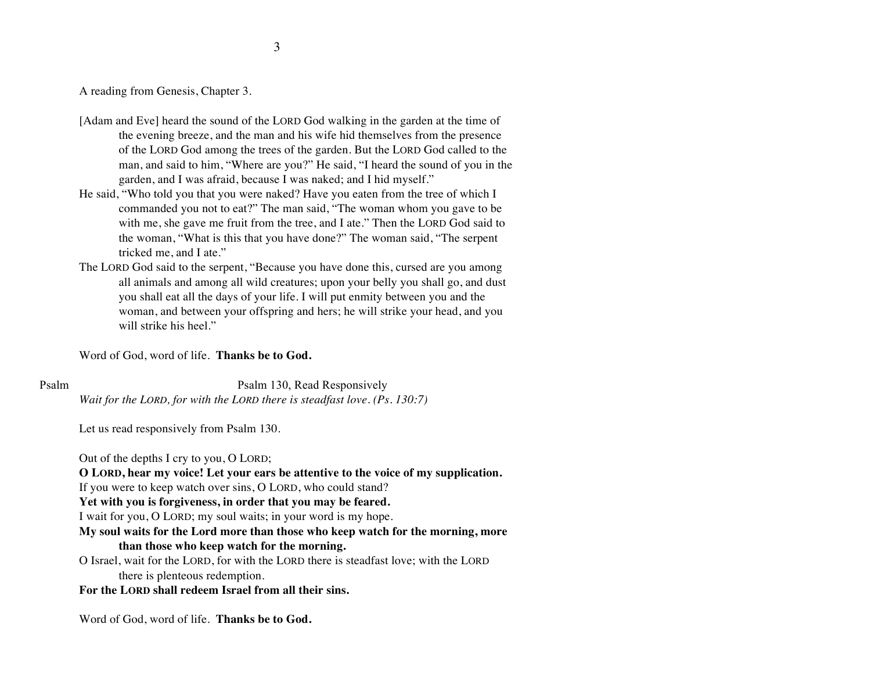A reading from Genesis, Chapter 3.

- [Adam and Eve] heard the sound of the LORD God walking in the garden at the time of the evening breeze, and the man and his wife hid themselves from the presence of the LORD God among the trees of the garden. But the LORD God called to the man, and said to him, "Where are you?" He said, "I heard the sound of you in the garden, and I was afraid, because I was naked; and I hid myself."
- He said, "Who told you that you were naked? Have you eaten from the tree of which I commanded you not to eat?" The man said, "The woman whom you gave to be with me, she gave me fruit from the tree, and I ate." Then the LORD God said to the woman, "What is this that you have done?" The woman said, "The serpent tricked me, and I ate."
- The LORD God said to the serpent, "Because you have done this, cursed are you among all animals and among all wild creatures; upon your belly you shall go, and dust you shall eat all the days of your life. I will put enmity between you and the woman, and between your offspring and hers; he will strike your head, and you will strike his heel."

Word of God, word of life. **Thanks be to God.**

Psalm Psalm 130, Read Responsively *Wait for the LORD, for with the LORD there is steadfast love. (Ps. 130:7)*

Let us read responsively from Psalm 130.

Out of the depths I cry to you, O LORD;

**O LORD, hear my voice! Let your ears be attentive to the voice of my supplication.** If you were to keep watch over sins, O LORD, who could stand?

**Yet with you is forgiveness, in order that you may be feared.**

I wait for you, O LORD; my soul waits; in your word is my hope.

- **My soul waits for the Lord more than those who keep watch for the morning, more than those who keep watch for the morning.**
- O Israel, wait for the LORD, for with the LORD there is steadfast love; with the LORD there is plenteous redemption.

### **For the LORD shall redeem Israel from all their sins.**

Word of God, word of life. **Thanks be to God.**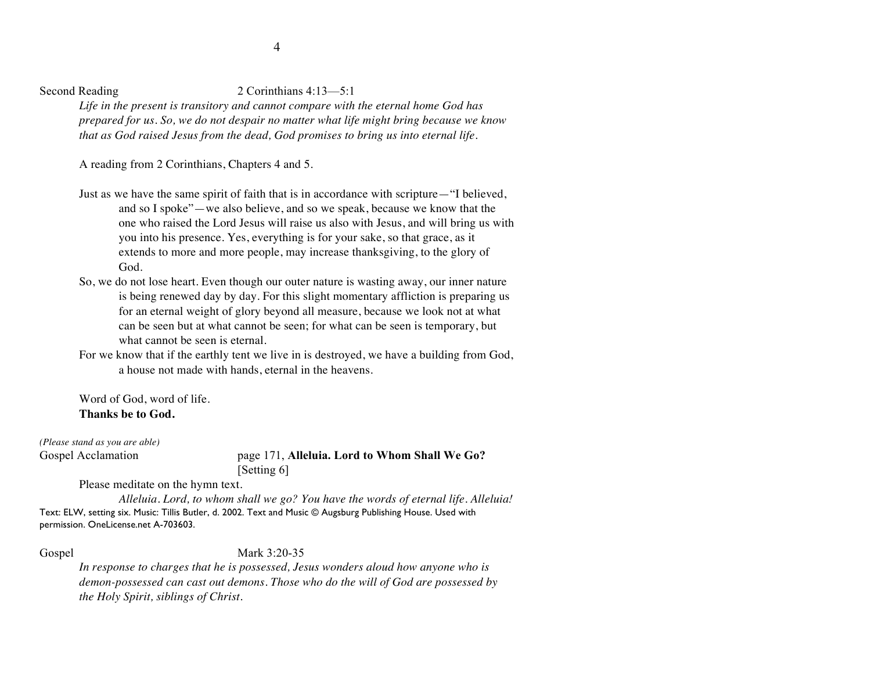### Second Reading 2 Corinthians 4:13-5:1

*Life in the present is transitory and cannot compare with the eternal home God has prepared for us. So, we do not despair no matter what life might bring because we know that as God raised Jesus from the dead, God promises to bring us into eternal life.*

A reading from 2 Corinthians, Chapters 4 and 5.

- Just as we have the same spirit of faith that is in accordance with scripture—"I believed, and so I spoke"—we also believe, and so we speak, because we know that the one who raised the Lord Jesus will raise us also with Jesus, and will bring us with you into his presence. Yes, everything is for your sake, so that grace, as it extends to more and more people, may increase thanksgiving, to the glory of God.
- So, we do not lose heart. Even though our outer nature is wasting away, our inner nature is being renewed day by day. For this slight momentary affliction is preparing us for an eternal weight of glory beyond all measure, because we look not at what can be seen but at what cannot be seen; for what can be seen is temporary, but what cannot be seen is eternal.
- For we know that if the earthly tent we live in is destroyed, we have a building from God, a house not made with hands, eternal in the heavens.

Word of God, word of life. **Thanks be to God.**

*(Please stand as you are able)*

### Gospel Acclamation page 171, **Alleluia. Lord to Whom Shall We Go?**  [Setting 6]

Please meditate on the hymn text.

*Alleluia. Lord, to whom shall we go? You have the words of eternal life. Alleluia!* Text: ELW, setting six. Music: Tillis Butler, d. 2002. Text and Music © Augsburg Publishing House. Used with permission. OneLicense.net A-703603.

Gospel Mark 3:20-35

*In response to charges that he is possessed, Jesus wonders aloud how anyone who is demon-possessed can cast out demons. Those who do the will of God are possessed by the Holy Spirit, siblings of Christ.*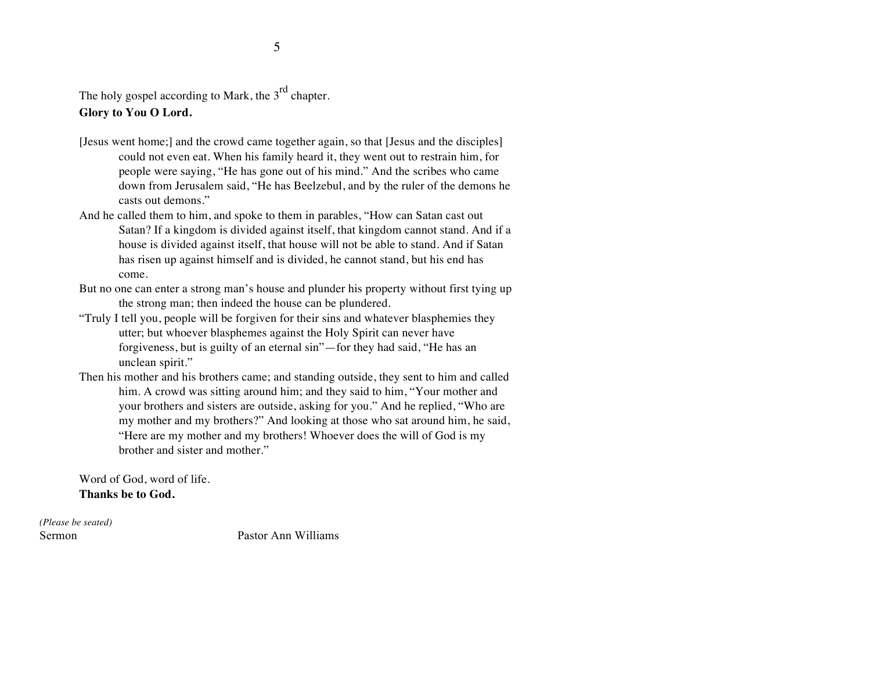The holy gospel according to Mark, the  $3<sup>rd</sup>$  chapter. **Glory to You O Lord.**

- [Jesus went home;] and the crowd came together again, so that [Jesus and the disciples] could not even eat. When his family heard it, they went out to restrain him, for people were saying, "He has gone out of his mind." And the scribes who came down from Jerusalem said, "He has Beelzebul, and by the ruler of the demons he casts out demons."
- And he called them to him, and spoke to them in parables, "How can Satan cast out Satan? If a kingdom is divided against itself, that kingdom cannot stand. And if a house is divided against itself, that house will not be able to stand. And if Satan has risen up against himself and is divided, he cannot stand, but his end has come.
- But no one can enter a strong man's house and plunder his property without first tying up the strong man; then indeed the house can be plundered.
- "Truly I tell you, people will be forgiven for their sins and whatever blasphemies they utter; but whoever blasphemes against the Holy Spirit can never have forgiveness, but is guilty of an eternal sin"—for they had said, "He has an unclean spirit."
- Then his mother and his brothers came; and standing outside, they sent to him and called him. A crowd was sitting around him; and they said to him, "Your mother and your brothers and sisters are outside, asking for you." And he replied, "Who are my mother and my brothers?" And looking at those who sat around him, he said, "Here are my mother and my brothers! Whoever does the will of God is my brother and sister and mother."

Word of God, word of life. **Thanks be to God.**

*(Please be seated)*

Sermon Pastor Ann Williams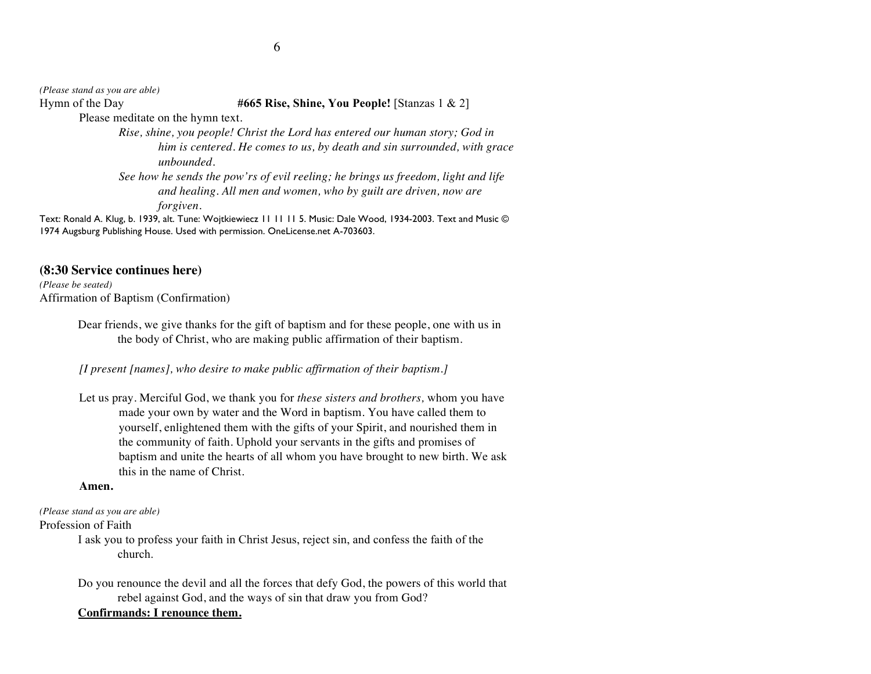*(Please stand as you are able)*

Hymn of the Day **#665 Rise, Shine, You People!** [Stanzas 1 & 2]

Please meditate on the hymn text.

*Rise, shine, you people! Christ the Lord has entered our human story; God in him is centered. He comes to us, by death and sin surrounded, with grace unbounded. See how he sends the pow'rs of evil reeling; he brings us freedom, light and life and healing. All men and women, who by guilt are driven, now are* 

*forgiven.*

Text: Ronald A. Klug, b. 1939, alt. Tune: Wojtkiewiecz 11 11 11 5. Music: Dale Wood, 1934-2003. Text and Music © 1974 Augsburg Publishing House. Used with permission. OneLicense.net A-703603.

## **(8:30 Service continues here)**

*(Please be seated)*

Affirmation of Baptism (Confirmation)

Dear friends, we give thanks for the gift of baptism and for these people, one with us in the body of Christ, who are making public affirmation of their baptism.

*[I present [names], who desire to make public affirmation of their baptism.]*

Let us pray. Merciful God, we thank you for *these sisters and brothers,* whom you have made your own by water and the Word in baptism. You have called them to yourself, enlightened them with the gifts of your Spirit, and nourished them in the community of faith. Uphold your servants in the gifts and promises of baptism and unite the hearts of all whom you have brought to new birth. We ask this in the name of Christ.

### **Amen.**

*(Please stand as you are able)*

Profession of Faith

I ask you to profess your faith in Christ Jesus, reject sin, and confess the faith of the church.

Do you renounce the devil and all the forces that defy God, the powers of this world that rebel against God, and the ways of sin that draw you from God?

# **Confirmands: I renounce them.**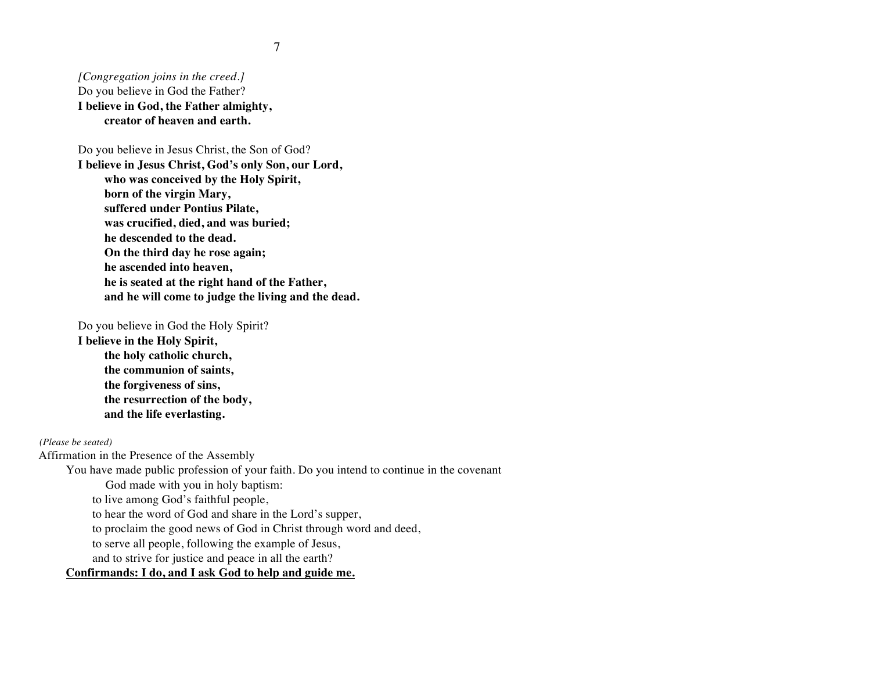*[Congregation joins in the creed.]* Do you believe in God the Father? **I believe in God, the Father almighty, creator of heaven and earth.**

Do you believe in Jesus Christ, the Son of God? **I believe in Jesus Christ, God's only Son, our Lord, who was conceived by the Holy Spirit, born of the virgin Mary, suffered under Pontius Pilate, was crucified, died, and was buried; he descended to the dead. On the third day he rose again; he ascended into heaven, he is seated at the right hand of the Father, and he will come to judge the living and the dead.**

Do you believe in God the Holy Spirit?

**I believe in the Holy Spirit, the holy catholic church, the communion of saints, the forgiveness of sins, the resurrection of the body, and the life everlasting.**

*(Please be seated)*

Affirmation in the Presence of the Assembly

You have made public profession of your faith. Do you intend to continue in the covenant

God made with you in holy baptism:

to live among God's faithful people,

to hear the word of God and share in the Lord's supper,

to proclaim the good news of God in Christ through word and deed,

to serve all people, following the example of Jesus,

and to strive for justice and peace in all the earth?

# **Confirmands: I do, and I ask God to help and guide me.**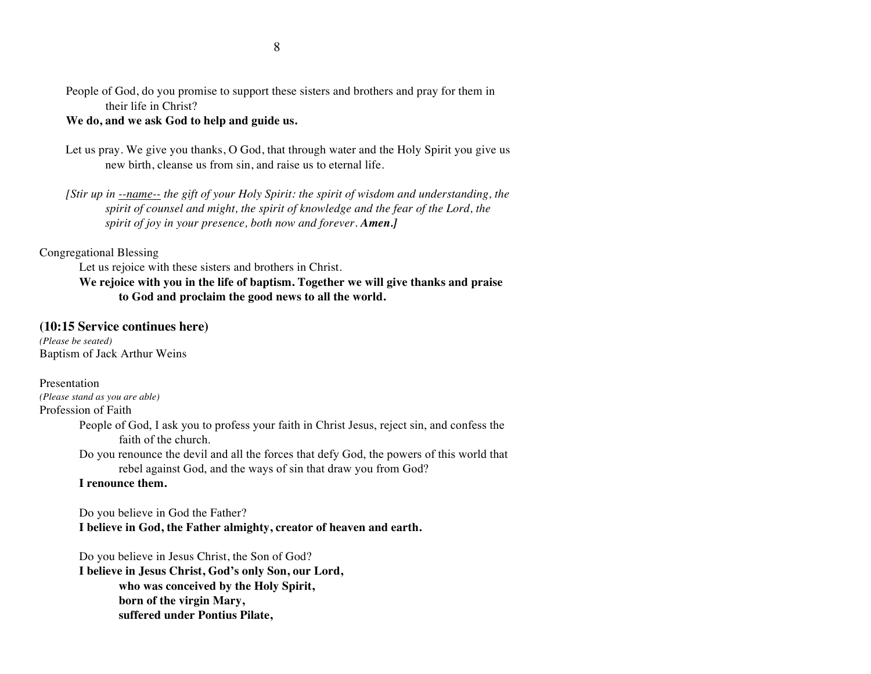People of God, do you promise to support these sisters and brothers and pray for them in their life in Christ?

### **We do, and we ask God to help and guide us.**

- Let us pray. We give you thanks, O God, that through water and the Holy Spirit you give us new birth, cleanse us from sin, and raise us to eternal life.
- *[Stir up in --name-- the gift of your Holy Spirit: the spirit of wisdom and understanding, the spirit of counsel and might, the spirit of knowledge and the fear of the Lord, the spirit of joy in your presence, both now and forever. Amen.]*

#### Congregational Blessing

Let us rejoice with these sisters and brothers in Christ.

# **We rejoice with you in the life of baptism. Together we will give thanks and praise to God and proclaim the good news to all the world.**

### **(10:15 Service continues here)**

*(Please be seated)* Baptism of Jack Arthur Weins

Presentation *(Please stand as you are able)* Profession of Faith

- People of God, I ask you to profess your faith in Christ Jesus, reject sin, and confess the faith of the church.
- Do you renounce the devil and all the forces that defy God, the powers of this world that rebel against God, and the ways of sin that draw you from God?

### **I renounce them.**

Do you believe in God the Father? **I believe in God, the Father almighty, creator of heaven and earth.**

Do you believe in Jesus Christ, the Son of God? **I believe in Jesus Christ, God's only Son, our Lord, who was conceived by the Holy Spirit, born of the virgin Mary, suffered under Pontius Pilate,**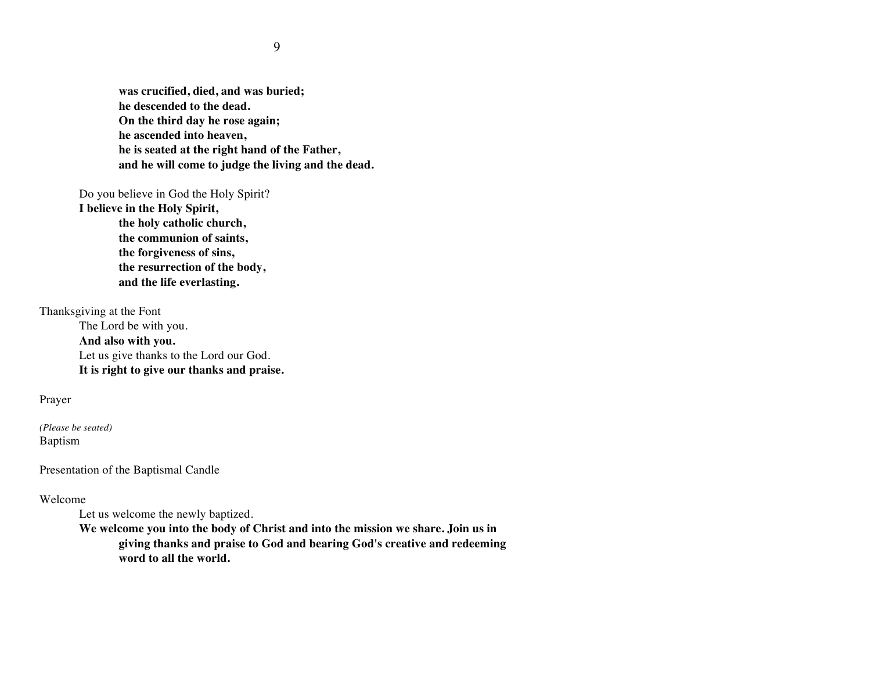**was crucified, died, and was buried; he descended to the dead. On the third day he rose again; he ascended into heaven, he is seated at the right hand of the Father, and he will come to judge the living and the dead.**

Do you believe in God the Holy Spirit?

**I believe in the Holy Spirit, the holy catholic church, the communion of saints, the forgiveness of sins, the resurrection of the body, and the life everlasting.**

Thanksgiving at the Font

The Lord be with you.

**And also with you.** Let us give thanks to the Lord our God. **It is right to give our thanks and praise.**

Prayer

*(Please be seated)* Baptism

Presentation of the Baptismal Candle

Welcome

Let us welcome the newly baptized.

**We welcome you into the body of Christ and into the mission we share. Join us in giving thanks and praise to God and bearing God's creative and redeeming word to all the world.**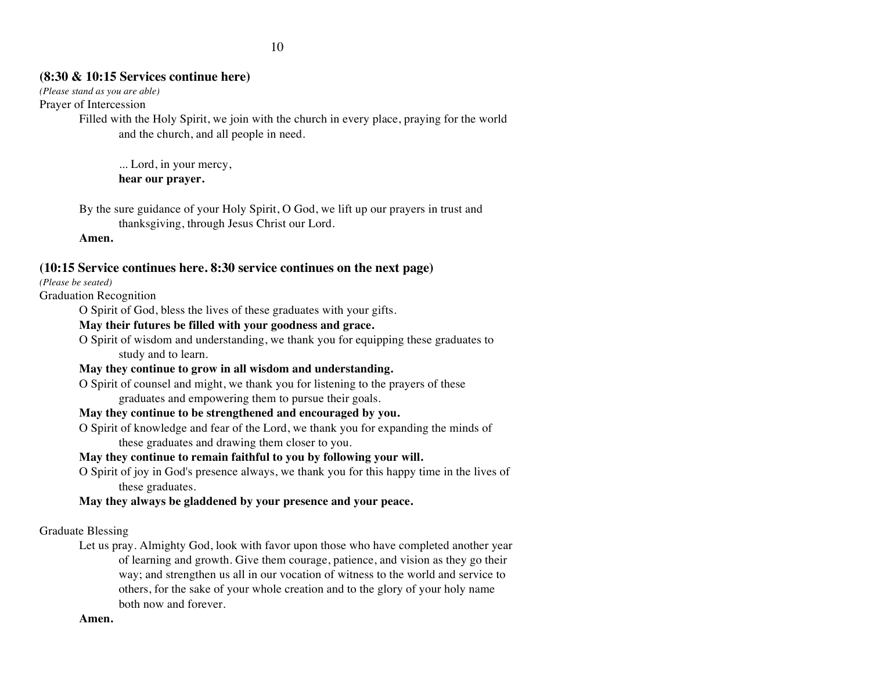# **(8:30 & 10:15 Services continue here)**

*(Please stand as you are able)*

Prayer of Intercession

Filled with the Holy Spirit, we join with the church in every place, praying for the world and the church, and all people in need.

... Lord, in your mercy, **hear our prayer.**

By the sure guidance of your Holy Spirit, O God, we lift up our prayers in trust and thanksgiving, through Jesus Christ our Lord.

**Amen.**

# **(10:15 Service continues here. 8:30 service continues on the next page)**

*(Please be seated)*

Graduation Recognition

O Spirit of God, bless the lives of these graduates with your gifts.

### **May their futures be filled with your goodness and grace.**

O Spirit of wisdom and understanding, we thank you for equipping these graduates to study and to learn.

# **May they continue to grow in all wisdom and understanding.**

O Spirit of counsel and might, we thank you for listening to the prayers of these graduates and empowering them to pursue their goals.

# **May they continue to be strengthened and encouraged by you.**

O Spirit of knowledge and fear of the Lord, we thank you for expanding the minds of these graduates and drawing them closer to you.

# **May they continue to remain faithful to you by following your will.**

O Spirit of joy in God's presence always, we thank you for this happy time in the lives of these graduates.

# **May they always be gladdened by your presence and your peace.**

Graduate Blessing

Let us pray. Almighty God, look with favor upon those who have completed another year of learning and growth. Give them courage, patience, and vision as they go their way; and strengthen us all in our vocation of witness to the world and service to others, for the sake of your whole creation and to the glory of your holy name both now and forever.

### **Amen.**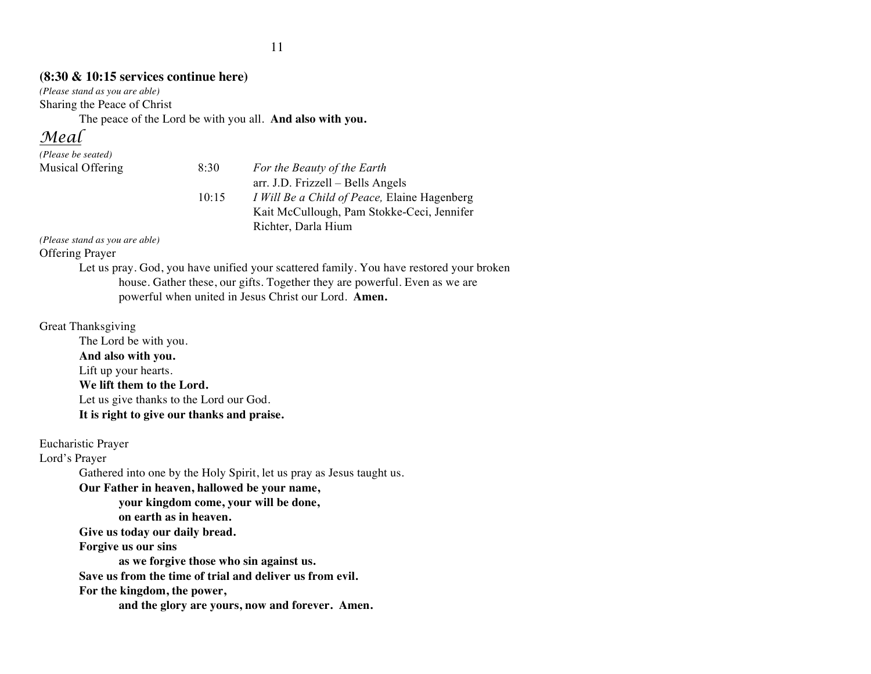# **(8:30 & 10:15 services continue here)**

*(Please stand as you are able)* Sharing the Peace of Christ

The peace of the Lord be with you all. **And also with you.**

# *Meal*

| (Please be seated) |       |                                                     |
|--------------------|-------|-----------------------------------------------------|
| Musical Offering   | 8:30  | For the Beauty of the Earth                         |
|                    |       | arr. J.D. Frizzell – Bells Angels                   |
|                    | 10:15 | <i>I Will Be a Child of Peace, Elaine Hagenberg</i> |
|                    |       | Kait McCullough, Pam Stokke-Ceci, Jennifer          |
|                    |       | Richter, Darla Hium                                 |

*(Please stand as you are able)*

Offering Prayer

Let us pray. God, you have unified your scattered family. You have restored your broken house. Gather these, our gifts. Together they are powerful. Even as we are powerful when united in Jesus Christ our Lord. **Amen.**

# Great Thanksgiving

The Lord be with you. **And also with you.** Lift up your hearts. **We lift them to the Lord.** Let us give thanks to the Lord our God. **It is right to give our thanks and praise.**

Eucharistic Prayer

Lord's Prayer

Gathered into one by the Holy Spirit, let us pray as Jesus taught us.

**Our Father in heaven, hallowed be your name,** 

**your kingdom come, your will be done,** 

**on earth as in heaven.**

**Give us today our daily bread.** 

**Forgive us our sins** 

**as we forgive those who sin against us.** 

**Save us from the time of trial and deliver us from evil.**

**For the kingdom, the power,** 

**and the glory are yours, now and forever. Amen.**